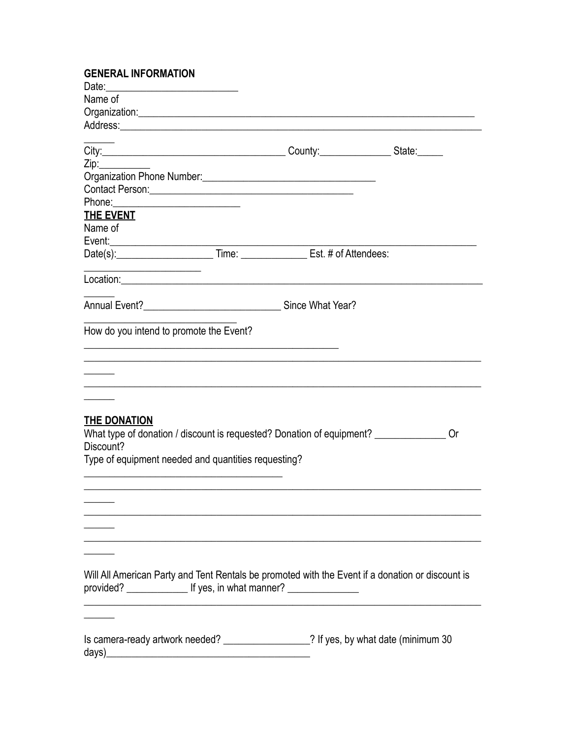| <b>GENERAL INFORMATION</b>                                                                                                                                                     |  |                                                                                                                                                                                                                                |
|--------------------------------------------------------------------------------------------------------------------------------------------------------------------------------|--|--------------------------------------------------------------------------------------------------------------------------------------------------------------------------------------------------------------------------------|
|                                                                                                                                                                                |  |                                                                                                                                                                                                                                |
| Name of                                                                                                                                                                        |  |                                                                                                                                                                                                                                |
|                                                                                                                                                                                |  |                                                                                                                                                                                                                                |
|                                                                                                                                                                                |  | Address: Address: Address: Address: Address: Address: Address: Address: Address: Address: Address: Address: Address: Address: Address: Address: Address: Address: Address: Address: Address: Address: Address: Address: Addres |
|                                                                                                                                                                                |  |                                                                                                                                                                                                                                |
| Zip:                                                                                                                                                                           |  |                                                                                                                                                                                                                                |
|                                                                                                                                                                                |  |                                                                                                                                                                                                                                |
| Contact Person: New York Contact Person:                                                                                                                                       |  |                                                                                                                                                                                                                                |
|                                                                                                                                                                                |  |                                                                                                                                                                                                                                |
| THE EVENT                                                                                                                                                                      |  |                                                                                                                                                                                                                                |
| Name of                                                                                                                                                                        |  |                                                                                                                                                                                                                                |
|                                                                                                                                                                                |  |                                                                                                                                                                                                                                |
|                                                                                                                                                                                |  |                                                                                                                                                                                                                                |
| Location: Location: Location: Location: Location: Location: Location: Location: Location: Location: Location:                                                                  |  |                                                                                                                                                                                                                                |
|                                                                                                                                                                                |  |                                                                                                                                                                                                                                |
|                                                                                                                                                                                |  |                                                                                                                                                                                                                                |
| How do you intend to promote the Event?                                                                                                                                        |  |                                                                                                                                                                                                                                |
| THE DONATION<br>What type of donation / discount is requested? Donation of equipment? ___________                                                                              |  | <u> 1989 - Johann Stoff, amerikan bestein der stadt i den stadt i den stadt i den stadt i den stadt i den stadt i</u><br>0r                                                                                                    |
| Discount?                                                                                                                                                                      |  |                                                                                                                                                                                                                                |
| Type of equipment needed and quantities requesting?                                                                                                                            |  |                                                                                                                                                                                                                                |
|                                                                                                                                                                                |  |                                                                                                                                                                                                                                |
|                                                                                                                                                                                |  |                                                                                                                                                                                                                                |
|                                                                                                                                                                                |  |                                                                                                                                                                                                                                |
|                                                                                                                                                                                |  |                                                                                                                                                                                                                                |
|                                                                                                                                                                                |  |                                                                                                                                                                                                                                |
|                                                                                                                                                                                |  |                                                                                                                                                                                                                                |
|                                                                                                                                                                                |  |                                                                                                                                                                                                                                |
| Will All American Party and Tent Rentals be promoted with the Event if a donation or discount is<br>provided? ____________________ If yes, in what manner? ___________________ |  |                                                                                                                                                                                                                                |
|                                                                                                                                                                                |  |                                                                                                                                                                                                                                |
| Is camera-ready artwork needed? __________________? If yes, by what date (minimum 30                                                                                           |  |                                                                                                                                                                                                                                |
|                                                                                                                                                                                |  |                                                                                                                                                                                                                                |